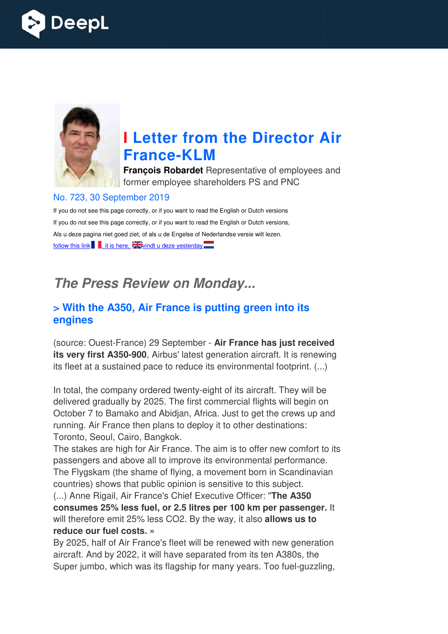



# **I Letter from the Director Air France France-KLM**

**François Robardet** Representative of employees and former employee shareholders PS and PNC

#### No. 723, 30 September 2019

If you do not see this page correctly, or if you want to read the English or Dutch versions If you do not see this page correctly, or if you want to read the English or Dutch versions, Als u deze pagina niet goed ziet, of als u de Engelse of Nederlandse versie wilt lezen, follow this link  $\blacksquare$ , it is here,  $\frac{1}{2}$  vindt u deze yesterday  $\blacksquare$ 

## *The Press Review on Monday...*

#### **> With the A350, Air France is putting green into its engines**

(source: Ouest-France) 29 September - Air France has just received **its very first A350-900**, Airbus' latest generation aircraft. It is renewing its fleet at a sustained pace to reduce its environmental footprint. (...)

In total, the company ordered twenty-eight of its aircraft. They will be delivered gradually by 2025. The first commercial flights will begin on October 7 to Bamako and Abidjan, Africa. Just to get the crews up and running. Air France then plans to deploy it to other destinations: Toronto, Seoul, Cairo, Bangkok.

The stakes are high for Air France. The aim is to offer new comfort to its passengers and above all to improve its environmental performance. The Flygskam (the shame of flying, a movement born in Scandinavian countries) shows that public opinion is sensitive to this subject.

(...) Anne Rigail, Air France's Chief Executive Officer: " **The A350 consumes 25% less fuel, or 2.5 litres per 100 km per passenger.** It will therefore emit 25% less CO2. By the way, it also **allows us to reduce our fuel costs. »** 

By 2025, half of Air France's fleet will be renewed with new generation aircraft. And by 2022, it will have separated from its ten A380s, the Super jumbo, which was its flagship for many years. Too fuel-guzzling,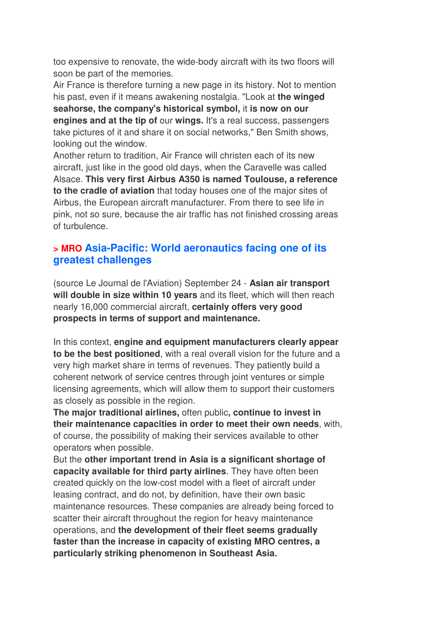too expensive to renovate, the wide-body aircraft with its two floors will soon be part of the memories.

Air France is therefore turning a new page in its history. Not to mention his past, even if it means awakening nostalgia. "Look at **the winged seahorse, the company's historical symbol,** it **is now on our engines and at the tip of** our **wings.** It's a real success, passengers take pictures of it and share it on social networks," Ben Smith shows, looking out the window.

Another return to tradition, Air France will christen each of its new aircraft, just like in the good old days, when the Caravelle was called Alsace. **This very first Airbus A350 is named Toulouse, a reference to the cradle of aviation** that today houses one of the major sites of Airbus, the European aircraft manufacturer. From there to see life in pink, not so sure, because the air traffic has not finished crossing areas of turbulence.

#### **> MRO Asia-Pacific: World aeronautics facing one of its greatest challenges**

(source Le Journal de l'Aviation) September 24 - **Asian air transport will double in size within 10 years** and its fleet, which will then reach nearly 16,000 commercial aircraft, **certainly offers very good prospects in terms of support and maintenance.** 

In this context, **engine and equipment manufacturers clearly appear to be the best positioned**, with a real overall vision for the future and a very high market share in terms of revenues. They patiently build a coherent network of service centres through joint ventures or simple licensing agreements, which will allow them to support their customers as closely as possible in the region.

**The major traditional airlines,** often public**, continue to invest in their maintenance capacities in order to meet their own needs**, with, of course, the possibility of making their services available to other operators when possible.

But the **other important trend in Asia is a significant shortage of capacity available for third party airlines**. They have often been created quickly on the low-cost model with a fleet of aircraft under leasing contract, and do not, by definition, have their own basic maintenance resources. These companies are already being forced to scatter their aircraft throughout the region for heavy maintenance operations, and **the development of their fleet seems gradually faster than the increase in capacity of existing MRO centres, a particularly striking phenomenon in Southeast Asia.**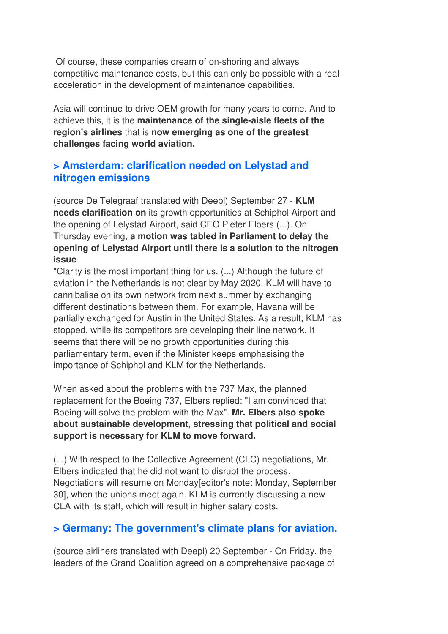Of course, these companies dream of on-shoring and always competitive maintenance costs, but this can only be possible with a real acceleration in the development of maintenance capabilities.

Asia will continue to drive OEM growth for many years to come. And to achieve this, it is the **maintenance of the single-aisle fleets of the region's airlines** that is **now emerging as one of the greatest challenges facing world aviation.**

#### **> Amsterdam: clarification needed on Lelystad and nitrogen emissions**

(source De Telegraaf translated with Deepl) September 27 - **KLM needs clarification on** its growth opportunities at Schiphol Airport and the opening of Lelystad Airport, said CEO Pieter Elbers (...). On Thursday evening, **a motion was tabled in Parliament to delay the opening of Lelystad Airport until there is a solution to the nitrogen issue**.

"Clarity is the most important thing for us. (...) Although the future of aviation in the Netherlands is not clear by May 2020, KLM will have to cannibalise on its own network from next summer by exchanging different destinations between them. For example, Havana will be partially exchanged for Austin in the United States. As a result, KLM has stopped, while its competitors are developing their line network. It seems that there will be no growth opportunities during this parliamentary term, even if the Minister keeps emphasising the importance of Schiphol and KLM for the Netherlands.

When asked about the problems with the 737 Max, the planned replacement for the Boeing 737, Elbers replied: "I am convinced that Boeing will solve the problem with the Max". **Mr. Elbers also spoke about sustainable development, stressing that political and social support is necessary for KLM to move forward.** 

(...) With respect to the Collective Agreement (CLC) negotiations, Mr. Elbers indicated that he did not want to disrupt the process. Negotiations will resume on Monday[editor's note: Monday, September 30], when the unions meet again. KLM is currently discussing a new CLA with its staff, which will result in higher salary costs.

#### **> Germany: The government's climate plans for aviation.**

(source airliners translated with Deepl) 20 September - On Friday, the leaders of the Grand Coalition agreed on a comprehensive package of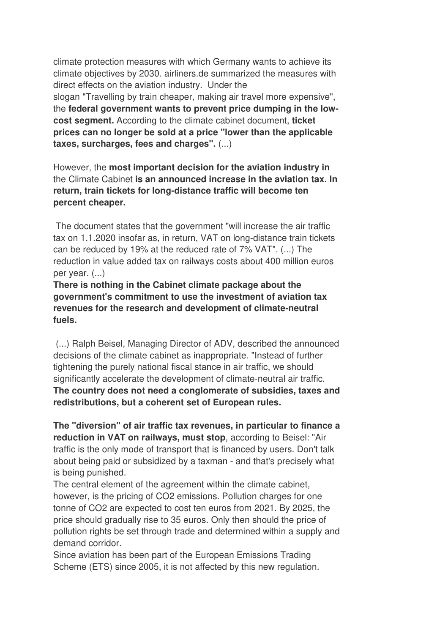climate protection measures with which Germany wants to achieve its climate objectives by 2030. airliners.de summarized the measures with direct effects on the aviation industry. Under the slogan "Travelling by train cheaper, making air travel more expensive", the **federal government wants to prevent price dumping in the lowcost segment.** According to the climate cabinet document, **ticket prices can no longer be sold at a price "lower than the applicable taxes, surcharges, fees and charges".** (...)

However, the **most important decision for the aviation industry in** the Climate Cabinet **is an announced increase in the aviation tax. In return, train tickets for long-distance traffic will become ten percent cheaper.** 

 The document states that the government "will increase the air traffic tax on 1.1.2020 insofar as, in return, VAT on long-distance train tickets can be reduced by 19% at the reduced rate of 7% VAT". (...) The reduction in value added tax on railways costs about 400 million euros per year. (...)

**There is nothing in the Cabinet climate package about the government's commitment to use the investment of aviation tax revenues for the research and development of climate-neutral fuels.** 

 (...) Ralph Beisel, Managing Director of ADV, described the announced decisions of the climate cabinet as inappropriate. "Instead of further tightening the purely national fiscal stance in air traffic, we should significantly accelerate the development of climate-neutral air traffic. **The country does not need a conglomerate of subsidies, taxes and redistributions, but a coherent set of European rules.** 

**The "diversion" of air traffic tax revenues, in particular to finance a reduction in VAT on railways, must stop**, according to Beisel: "Air traffic is the only mode of transport that is financed by users. Don't talk about being paid or subsidized by a taxman - and that's precisely what is being punished.

The central element of the agreement within the climate cabinet, however, is the pricing of CO2 emissions. Pollution charges for one tonne of CO2 are expected to cost ten euros from 2021. By 2025, the price should gradually rise to 35 euros. Only then should the price of pollution rights be set through trade and determined within a supply and demand corridor.

Since aviation has been part of the European Emissions Trading Scheme (ETS) since 2005, it is not affected by this new regulation.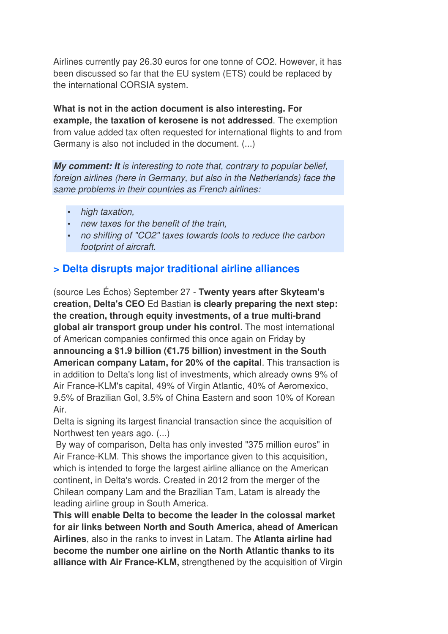Airlines currently pay 26.30 euros for one tonne of CO2. However, it has been discussed so far that the EU system (ETS) could be replaced by the international CORSIA system.

**What is not in the action document is also interesting. For example, the taxation of kerosene is not addressed**. The exemption from value added tax often requested for international flights to and from Germany is also not included in the document. (...)

*My comment: It is interesting to note that, contrary to popular belief, foreign airlines (here in Germany, but also in the Netherlands) face the same problems in their countries as French airlines:* 

- *high taxation,*
- *new taxes for the benefit of the train,*
- *no shifting of "CO2" taxes towards tools to reduce the carbon footprint of aircraft.*

### **> Delta disrupts major traditional airline alliances**

(source Les Échos) September 27 - **Twenty years after Skyteam's creation, Delta's CEO** Ed Bastian **is clearly preparing the next step: the creation, through equity investments, of a true multi-brand global air transport group under his control**. The most international of American companies confirmed this once again on Friday by **announcing a \$1.9 billion (€1.75 billion) investment in the South American company Latam, for 20% of the capital**. This transaction is in addition to Delta's long list of investments, which already owns 9% of Air France-KLM's capital, 49% of Virgin Atlantic, 40% of Aeromexico, 9.5% of Brazilian Gol, 3.5% of China Eastern and soon 10% of Korean Air.

Delta is signing its largest financial transaction since the acquisition of Northwest ten years ago. (...)

 By way of comparison, Delta has only invested "375 million euros" in Air France-KLM. This shows the importance given to this acquisition, which is intended to forge the largest airline alliance on the American continent, in Delta's words. Created in 2012 from the merger of the Chilean company Lam and the Brazilian Tam, Latam is already the leading airline group in South America.

**This will enable Delta to become the leader in the colossal market for air links between North and South America, ahead of American Airlines**, also in the ranks to invest in Latam. The **Atlanta airline had become the number one airline on the North Atlantic thanks to its alliance with Air France-KLM,** strengthened by the acquisition of Virgin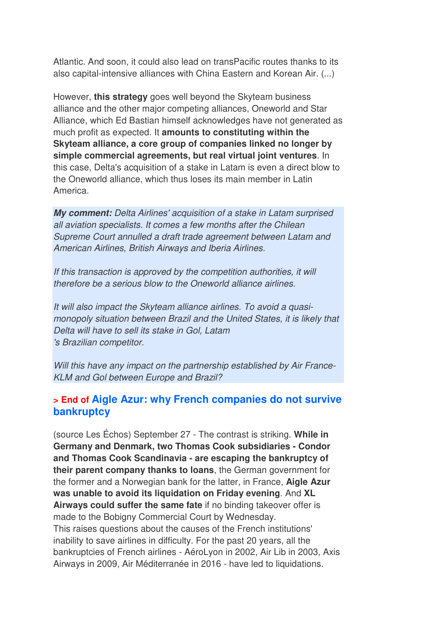Atlantic. And soon, it could also lead on transPacific routes thanks to its also capital-intensive alliances with China Eastern and Korean Air. (...)

However, **this strategy** goes well beyond the Skyteam business alliance and the other major competing alliances, Oneworld and Star Alliance, which Ed Bastian himself acknowledges have not generated as much profit as expected. It **amounts to constituting within the Skyteam alliance, a core group of companies linked no longer by simple commercial agreements, but real virtual joint ventures**. In this case, Delta's acquisition of a stake in Latam is even a direct blow to the Oneworld alliance, which thus loses its main member in Latin America.

*My comment: Delta Airlines' acquisition of a stake in Latam surprised all aviation specialists. It comes a few months after the Chilean Supreme Court annulled a draft trade agreement between Latam and American Airlines, British Airways and Iberia Airlines.* 

*If this transaction is approved by the competition authorities, it will therefore be a serious blow to the Oneworld alliance airlines.* 

*It will also impact the Skyteam alliance airlines. To avoid a quasimonopoly situation between Brazil and the United States, it is likely that Delta will have to sell its stake in Gol, Latam 's Brazilian competitor.* 

*Will this have any impact on the partnership established by Air France-KLM and Gol between Europe and Brazil?*

#### **> End of Aigle Azur: why French companies do not survive bankruptcy**

(source Les Échos) September 27 - The contrast is striking. **While in Germany and Denmark, two Thomas Cook subsidiaries - Condor and Thomas Cook Scandinavia - are escaping the bankruptcy of their parent company thanks to loans**, the German government for the former and a Norwegian bank for the latter, in France, **Aigle Azur was unable to avoid its liquidation on Friday evening**. And **XL Airways could suffer the same fate** if no binding takeover offer is made to the Bobigny Commercial Court by Wednesday. This raises questions about the causes of the French institutions' inability to save airlines in difficulty. For the past 20 years, all the bankruptcies of French airlines - AéroLyon in 2002, Air Lib in 2003, Axis Airways in 2009, Air Méditerranée in 2016 - have led to liquidations.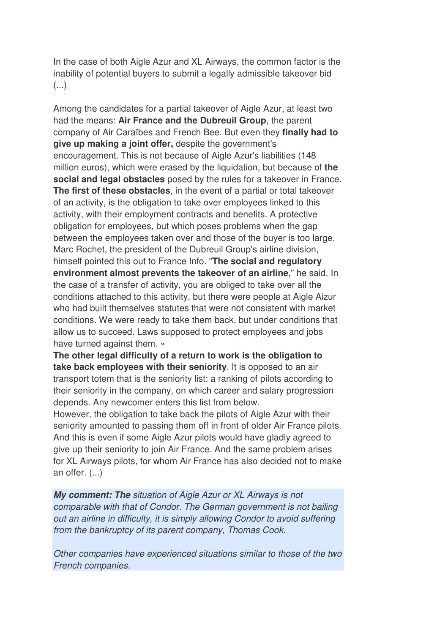In the case of both Aigle Azur and XL Airways, the common factor is the inability of potential buyers to submit a legally admissible takeover bid (...)

Among the candidates for a partial takeover of Aigle Azur, at least two had the means: **Air France and the Dubreuil Group**, the parent company of Air Caraïbes and French Bee. But even they **finally had to give up making a joint offer,** despite the government's encouragement. This is not because of Aigle Azur's liabilities (148 million euros), which were erased by the liquidation, but because of **the social and legal obstacles** posed by the rules for a takeover in France. **The first of these obstacles**, in the event of a partial or total takeover of an activity, is the obligation to take over employees linked to this activity, with their employment contracts and benefits. A protective obligation for employees, but which poses problems when the gap between the employees taken over and those of the buyer is too large. Marc Rochet, the president of the Dubreuil Group's airline division, himself pointed this out to France Info. "**The social and regulatory environment almost prevents the takeover of an airline,**" he said. In the case of a transfer of activity, you are obliged to take over all the conditions attached to this activity, but there were people at Aigle Aizur who had built themselves statutes that were not consistent with market conditions. We were ready to take them back, but under conditions that allow us to succeed. Laws supposed to protect employees and jobs have turned against them. »

**The other legal difficulty of a return to work is the obligation to take back employees with their seniority**. It is opposed to an air transport totem that is the seniority list: a ranking of pilots according to their seniority in the company, on which career and salary progression depends. Any newcomer enters this list from below.

However, the obligation to take back the pilots of Aigle Azur with their seniority amounted to passing them off in front of older Air France pilots. And this is even if some Aigle Azur pilots would have gladly agreed to give up their seniority to join Air France. And the same problem arises for XL Airways pilots, for whom Air France has also decided not to make an offer. (...)

*My comment: The situation of Aigle Azur or XL Airways is not comparable with that of Condor. The German government is not bailing out an airline in difficulty, it is simply allowing Condor to avoid suffering from the bankruptcy of its parent company, Thomas Cook.* 

*Other companies have experienced situations similar to those of the two French companies.*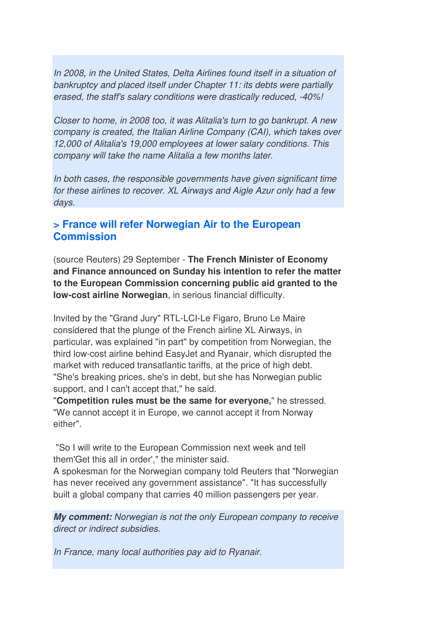*In 2008, in the United States, Delta Airlines found itself in a situation of bankruptcy and placed itself under Chapter 11: its debts were partially erased, the staff's salary conditions were drastically reduced, -40%!* 

*Closer to home, in 2008 too, it was Alitalia's turn to go bankrupt. A new company is created, the Italian Airline Company (CAI), which takes over 12,000 of Alitalia's 19,000 employees at lower salary conditions. This company will take the name Alitalia a few months later.* 

*In both cases, the responsible governments have given significant time for these airlines to recover. XL Airways and Aigle Azur only had a few days.*

#### **> France will refer Norwegian Air to the European Commission**

(source Reuters) 29 September - **The French Minister of Economy and Finance announced on Sunday his intention to refer the matter to the European Commission concerning public aid granted to the low-cost airline Norwegian**, in serious financial difficulty.

Invited by the "Grand Jury" RTL-LCI-Le Figaro, Bruno Le Maire considered that the plunge of the French airline XL Airways, in particular, was explained "in part" by competition from Norwegian, the third low-cost airline behind EasyJet and Ryanair, which disrupted the market with reduced transatlantic tariffs, at the price of high debt. "She's breaking prices, she's in debt, but she has Norwegian public support, and I can't accept that," he said.

"**Competition rules must be the same for everyone,**" he stressed. "We cannot accept it in Europe, we cannot accept it from Norway either".

 "So I will write to the European Commission next week and tell them'Get this all in order'," the minister said.

A spokesman for the Norwegian company told Reuters that "Norwegian has never received any government assistance". "It has successfully built a global company that carries 40 million passengers per year.

*My comment: Norwegian is not the only European company to receive direct or indirect subsidies.* 

*In France, many local authorities pay aid to Ryanair.*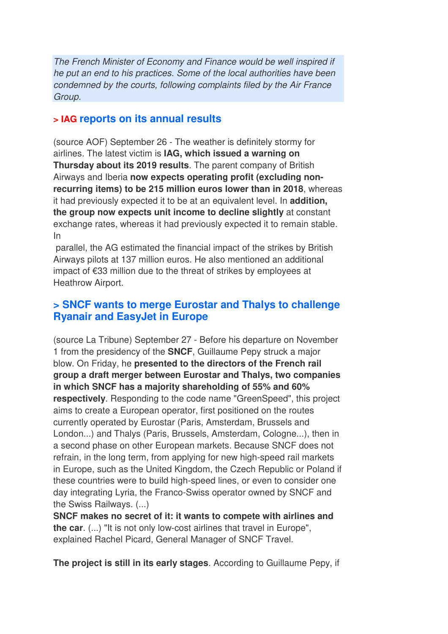*The French Minister of Economy and Finance would be well inspired if he put an end to his practices. Some of the local authorities have been condemned by the courts, following complaints filed by the Air France Group.*

#### **> IAG reports on its annual results**

(source AOF) September 26 - The weather is definitely stormy for airlines. The latest victim is **IAG, which issued a warning on Thursday about its 2019 results**. The parent company of British Airways and Iberia **now expects operating profit (excluding nonrecurring items) to be 215 million euros lower than in 2018**, whereas it had previously expected it to be at an equivalent level. In **addition, the group now expects unit income to decline slightly** at constant exchange rates, whereas it had previously expected it to remain stable. In

 parallel, the AG estimated the financial impact of the strikes by British Airways pilots at 137 million euros. He also mentioned an additional impact of €33 million due to the threat of strikes by employees at Heathrow Airport.

#### **> SNCF wants to merge Eurostar and Thalys to challenge Ryanair and EasyJet in Europe**

(source La Tribune) September 27 - Before his departure on November 1 from the presidency of the **SNCF**, Guillaume Pepy struck a major blow. On Friday, he **presented to the directors of the French rail group a draft merger between Eurostar and Thalys, two companies in which SNCF has a majority shareholding of 55% and 60% respectively**. Responding to the code name "GreenSpeed", this project aims to create a European operator, first positioned on the routes currently operated by Eurostar (Paris, Amsterdam, Brussels and London...) and Thalys (Paris, Brussels, Amsterdam, Cologne...), then in a second phase on other European markets. Because SNCF does not refrain, in the long term, from applying for new high-speed rail markets in Europe, such as the United Kingdom, the Czech Republic or Poland if these countries were to build high-speed lines, or even to consider one day integrating Lyria, the Franco-Swiss operator owned by SNCF and the Swiss Railways. (...)

**SNCF makes no secret of it: it wants to compete with airlines and the car**. (...) "It is not only low-cost airlines that travel in Europe", explained Rachel Picard, General Manager of SNCF Travel.

**The project is still in its early stages**. According to Guillaume Pepy, if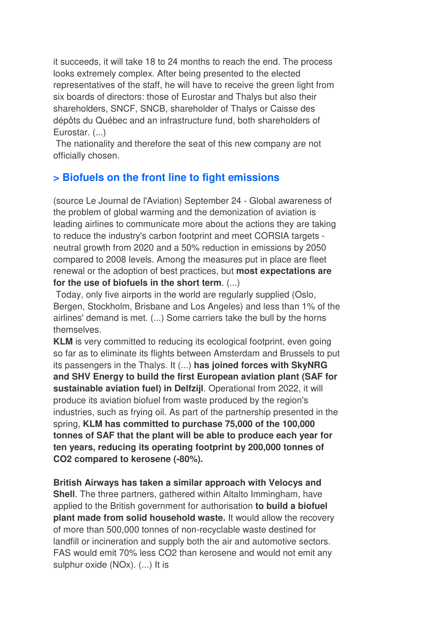it succeeds, it will take 18 to 24 months to reach the end. The process looks extremely complex. After being presented to the elected representatives of the staff, he will have to receive the green light from six boards of directors: those of Eurostar and Thalys but also their shareholders, SNCF, SNCB, shareholder of Thalys or Caisse des dépôts du Québec and an infrastructure fund, both shareholders of Eurostar. (...)

 The nationality and therefore the seat of this new company are not officially chosen.

## **> Biofuels on the front line to fight emissions**

(source Le Journal de l'Aviation) September 24 - Global awareness of the problem of global warming and the demonization of aviation is leading airlines to communicate more about the actions they are taking to reduce the industry's carbon footprint and meet CORSIA targets neutral growth from 2020 and a 50% reduction in emissions by 2050 compared to 2008 levels. Among the measures put in place are fleet renewal or the adoption of best practices, but **most expectations are for the use of biofuels in the short term**. (...)

 Today, only five airports in the world are regularly supplied (Oslo, Bergen, Stockholm, Brisbane and Los Angeles) and less than 1% of the airlines' demand is met. (...) Some carriers take the bull by the horns themselves.

**KLM** is very committed to reducing its ecological footprint, even going so far as to eliminate its flights between Amsterdam and Brussels to put its passengers in the Thalys. It (...) **has joined forces with SkyNRG and SHV Energy to build the first European aviation plant (SAF for sustainable aviation fuel) in Delfzijl**. Operational from 2022, it will produce its aviation biofuel from waste produced by the region's industries, such as frying oil. As part of the partnership presented in the spring, **KLM has committed to purchase 75,000 of the 100,000 tonnes of SAF that the plant will be able to produce each year for ten years, reducing its operating footprint by 200,000 tonnes of CO2 compared to kerosene (-80%).** 

**British Airways has taken a similar approach with Velocys and Shell**. The three partners, gathered within Altalto Immingham, have applied to the British government for authorisation **to build a biofuel plant made from solid household waste.** It would allow the recovery of more than 500,000 tonnes of non-recyclable waste destined for landfill or incineration and supply both the air and automotive sectors. FAS would emit 70% less CO2 than kerosene and would not emit any sulphur oxide (NOx). (...) It is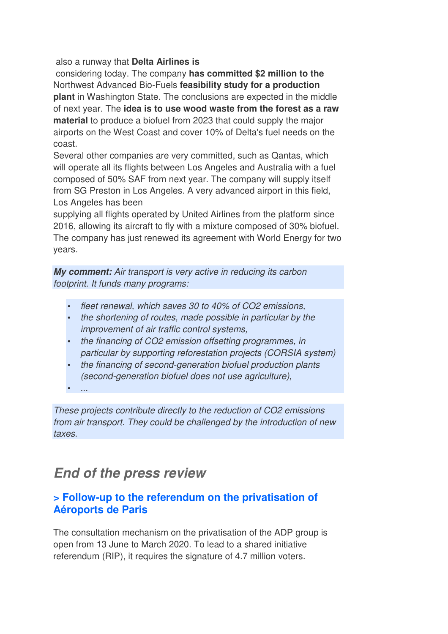#### also a runway that **Delta Airlines is**

 considering today. The company **has committed \$2 million to the** Northwest Advanced Bio-Fuels **feasibility study for a production plant** in Washington State. The conclusions are expected in the middle of next year. The **idea is to use wood waste from the forest as a raw material** to produce a biofuel from 2023 that could supply the major airports on the West Coast and cover 10% of Delta's fuel needs on the coast.

Several other companies are very committed, such as Qantas, which will operate all its flights between Los Angeles and Australia with a fuel composed of 50% SAF from next year. The company will supply itself from SG Preston in Los Angeles. A very advanced airport in this field, Los Angeles has been

supplying all flights operated by United Airlines from the platform since 2016, allowing its aircraft to fly with a mixture composed of 30% biofuel. The company has just renewed its agreement with World Energy for two years.

*My comment: Air transport is very active in reducing its carbon footprint. It funds many programs:* 

- *fleet renewal, which saves 30 to 40% of CO2 emissions,*
- *the shortening of routes, made possible in particular by the improvement of air traffic control systems,*
- *the financing of CO2 emission offsetting programmes, in particular by supporting reforestation projects (CORSIA system)*
- *the financing of second-generation biofuel production plants (second-generation biofuel does not use agriculture),*

• *...* 

*These projects contribute directly to the reduction of CO2 emissions from air transport. They could be challenged by the introduction of new taxes.*

## *End of the press review*

#### **> Follow-up to the referendum on the privatisation of Aéroports de Paris**

The consultation mechanism on the privatisation of the ADP group is open from 13 June to March 2020. To lead to a shared initiative referendum (RIP), it requires the signature of 4.7 million voters.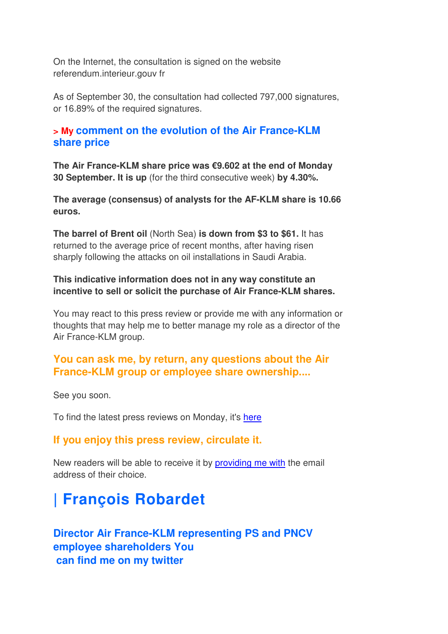On the Internet, the consultation is signed on the website referendum.interieur.gouv fr

As of September 30, the consultation had collected 797,000 signatures, or 16.89% of the required signatures.

#### **> My comment on the evolution of the Air France-KLM share price**

**The Air France-KLM share price was €9.602 at the end of Monday 30 September. It is up** (for the third consecutive week) **by 4.30%.**

**The average (consensus) of analysts for the AF-KLM share is 10.66 euros.**

**The barrel of Brent oil** (North Sea) **is down from \$3 to \$61.** It has returned to the average price of recent months, after having risen sharply following the attacks on oil installations in Saudi Arabia.

#### **This indicative information does not in any way constitute an incentive to sell or solicit the purchase of Air France-KLM shares.**

You may react to this press review or provide me with any information or thoughts that may help me to better manage my role as a director of the Air France-KLM group.

### **You can ask me, by return, any questions about the Air France-KLM group or employee share ownership....**

See you soon.

To find the latest press reviews on Monday, it's here

#### **If you enjoy this press review, circulate it.**

New readers will be able to receive it by providing me with the email address of their choice.

# **| François Robardet**

## **Director Air France-KLM representing PS and PNCV employee shareholders You can find me on my twitter**